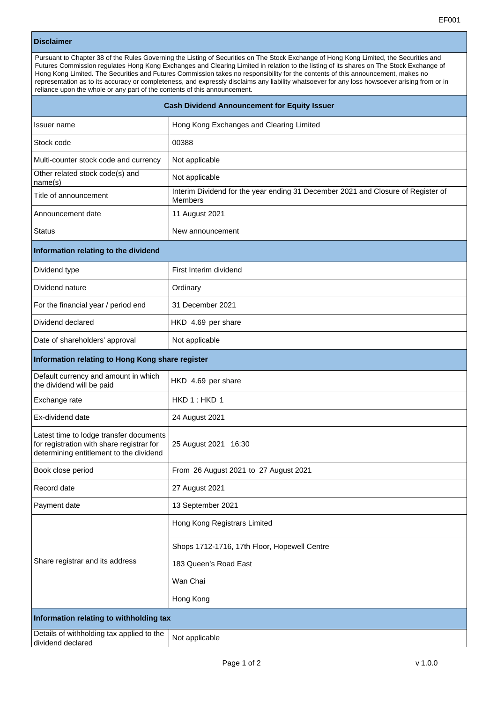## **Disclaimer**

Pursuant to Chapter 38 of the Rules Governing the Listing of Securities on The Stock Exchange of Hong Kong Limited, the Securities and Futures Commission regulates Hong Kong Exchanges and Clearing Limited in relation to the listing of its shares on The Stock Exchange of Hong Kong Limited. The Securities and Futures Commission takes no responsibility for the contents of this announcement, makes no representation as to its accuracy or completeness, and expressly disclaims any liability whatsoever for any loss howsoever arising from or in reliance upon the whole or any part of the contents of this announcement.

| Cash Dividend Announcement for Equity Issuer                                                                                    |                                                                                             |
|---------------------------------------------------------------------------------------------------------------------------------|---------------------------------------------------------------------------------------------|
| Issuer name                                                                                                                     | Hong Kong Exchanges and Clearing Limited                                                    |
| Stock code                                                                                                                      | 00388                                                                                       |
| Multi-counter stock code and currency                                                                                           | Not applicable                                                                              |
| Other related stock code(s) and<br>name(s)                                                                                      | Not applicable                                                                              |
| Title of announcement                                                                                                           | Interim Dividend for the year ending 31 December 2021 and Closure of Register of<br>Members |
| Announcement date                                                                                                               | 11 August 2021                                                                              |
| <b>Status</b>                                                                                                                   | New announcement                                                                            |
| Information relating to the dividend                                                                                            |                                                                                             |
| Dividend type                                                                                                                   | First Interim dividend                                                                      |
| Dividend nature                                                                                                                 | Ordinary                                                                                    |
| For the financial year / period end                                                                                             | 31 December 2021                                                                            |
| Dividend declared                                                                                                               | HKD 4.69 per share                                                                          |
| Date of shareholders' approval                                                                                                  | Not applicable                                                                              |
| Information relating to Hong Kong share register                                                                                |                                                                                             |
| Default currency and amount in which<br>the dividend will be paid                                                               | HKD 4.69 per share                                                                          |
| Exchange rate                                                                                                                   | HKD 1: HKD 1                                                                                |
| Ex-dividend date                                                                                                                | 24 August 2021                                                                              |
| Latest time to lodge transfer documents<br>for registration with share registrar for<br>determining entitlement to the dividend | 25 August 2021 16:30                                                                        |
| Book close period                                                                                                               | From 26 August 2021 to 27 August 2021                                                       |
| Record date                                                                                                                     | 27 August 2021                                                                              |
| Payment date                                                                                                                    | 13 September 2021                                                                           |
| Share registrar and its address                                                                                                 | Hong Kong Registrars Limited                                                                |
|                                                                                                                                 | Shops 1712-1716, 17th Floor, Hopewell Centre                                                |
|                                                                                                                                 | 183 Queen's Road East                                                                       |
|                                                                                                                                 | Wan Chai                                                                                    |
|                                                                                                                                 | Hong Kong                                                                                   |
| Information relating to withholding tax                                                                                         |                                                                                             |
| Details of withholding tax applied to the<br>dividend declared                                                                  | Not applicable                                                                              |